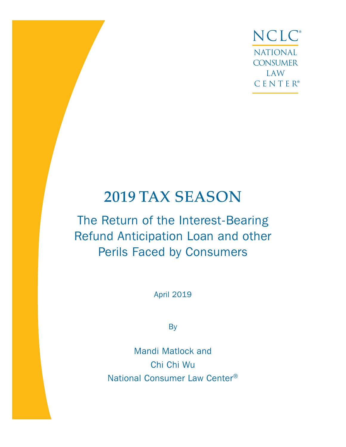NCLC® NATIONAL **CONSUMER** LAW CENTER®

# 2019 TAX SEASON

# The Return of the Interest-Bearing Refund Anticipation Loan and other Perils Faced by Consumers

April 2019

**By** 

Mandi Matlock and Chi Chi Wu National Consumer Law Center®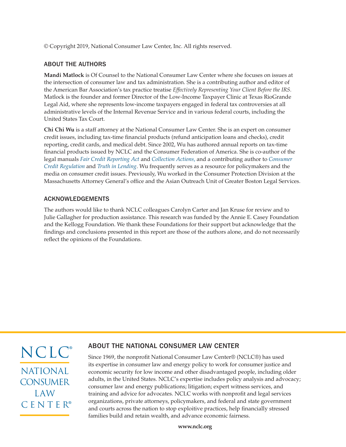© Copyright 2019, National Consumer Law Center, Inc. All rights reserved.

#### ABOUT THE AUTHORS

**Mandi Matlock** is Of Counsel to the National Consumer Law Center where she focuses on issues at the intersection of consumer law and tax administration. She is a contributing author and editor of the American Bar Association's tax practice treatise *Effectively Representing Your Client Before the IRS.*  Matlock is the founder and former Director of the Low-Income Taxpayer Clinic at Texas RioGrande Legal Aid, where she represents low-income taxpayers engaged in federal tax controversies at all administrative levels of the Internal Revenue Service and in various federal courts, including the United States Tax Court.

**Chi Chi Wu** is a staff attorney at the National Consumer Law Center. She is an expert on consumer credit issues, including tax-time financial products (refund anticipation loans and checks), credit reporting, credit cards, and medical debt. Since 2002, Wu has authored annual reports on tax-time financial products issued by NCLC and the Consumer Federation of America. She is co-author of the legal manuals *[Fair Credit Reporting Act](https://library.nclc.org/FCR/subscribe)* and *[Collection Actions](https://library.nclc.org/CA/subscribe)*, and a contributing author to *[Consumer](https://library.nclc.org/CCR/subscribe)  [Credit Regulation](https://library.nclc.org/CCR/subscribe)* and *[Truth in Lending](https://library.nclc.org/TIL/subscribe)*. Wu frequently serves as a resource for policymakers and the media on consumer credit issues. Previously, Wu worked in the Consumer Protection Division at the Massachusetts Attorney General's office and the Asian Outreach Unit of Greater Boston Legal Services.

#### ACKNOWLEDGEMENTS

The authors would like to thank NCLC colleagues Carolyn Carter and Jan Kruse for review and to Julie Gallagher for production assistance. This research was funded by the Annie E. Casey Foundation and the Kellogg Foundation. We thank these Foundations for their support but acknowledge that the findings and conclusions presented in this report are those of the authors alone, and do not necessarily reflect the opinions of the Foundations.

NCLC® NATIONAL **CONSUMER** LAW CENTER®

### ABOUT THE NATIONAL CONSUMER LAW CENTER

Since 1969, the nonprofit National Consumer Law Center® (NCLC®) has used its expertise in consumer law and energy policy to work for consumer justice and economic security for low income and other disadvantaged people, including older adults, in the United States. NCLC's expertise includes policy analysis and advocacy; consumer law and energy publications; litigation; expert witness services, and training and advice for advocates. NCLC works with nonprofit and legal services organizations, private attorneys, policymakers, and federal and state government and courts across the nation to stop exploitive practices, help financially stressed families build and retain wealth, and advance economic fairness.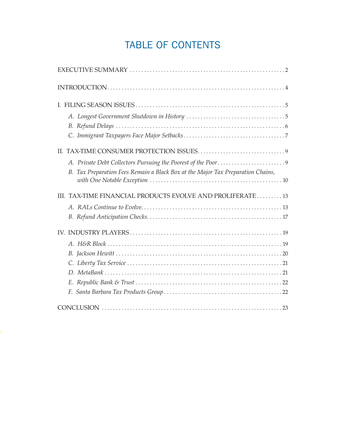## TABLE OF CONTENTS

| B. Tax Preparation Fees Remain a Black Box at the Major Tax Preparation Chains, |
|---------------------------------------------------------------------------------|
| III. TAX-TIME FINANCIAL PRODUCTS EVOLVE AND PROLIFERATE 13                      |
|                                                                                 |
|                                                                                 |
|                                                                                 |
|                                                                                 |
|                                                                                 |
|                                                                                 |
|                                                                                 |
|                                                                                 |
|                                                                                 |
|                                                                                 |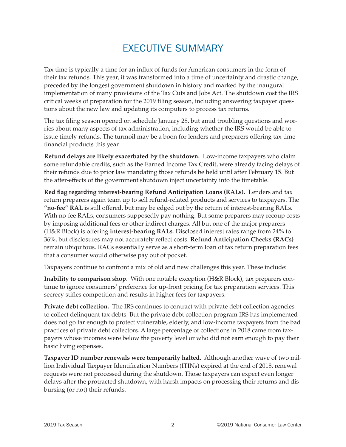## EXECUTIVE SUMMARY

<span id="page-3-0"></span>Tax time is typically a time for an influx of funds for American consumers in the form of their tax refunds. This year, it was transformed into a time of uncertainty and drastic change, preceded by the longest government shutdown in history and marked by the inaugural implementation of many provisions of the Tax Cuts and Jobs Act. The shutdown cost the IRS critical weeks of preparation for the 2019 filing season, including answering taxpayer questions about the new law and updating its computers to process tax returns.

The tax filing season opened on schedule January 28, but amid troubling questions and worries about many aspects of tax administration, including whether the IRS would be able to issue timely refunds. The turmoil may be a boon for lenders and preparers offering tax time financial products this year.

**Refund delays are likely exacerbated by the shutdown.** Low-income taxpayers who claim some refundable credits, such as the Earned Income Tax Credit, were already facing delays of their refunds due to prior law mandating those refunds be held until after February 15. But the after-effects of the government shutdown inject uncertainty into the timetable.

**Red flag regarding interest-bearing Refund Anticipation Loans (RALs).** Lenders and tax return preparers again team up to sell refund-related products and services to taxpayers. The **"no-fee" RAL** is still offered, but may be edged out by the return of interest-bearing RALs. With no-fee RALs, consumers supposedly pay nothing. But some preparers may recoup costs by imposing additional fees or other indirect charges. All but one of the major preparers (H&R Block) is offering **interest-bearing RALs**. Disclosed interest rates range from 24% to 36%, but disclosures may not accurately reflect costs. **Refund Anticipation Checks (RACs)** remain ubiquitous. RACs essentially serve as a short-term loan of tax return preparation fees that a consumer would otherwise pay out of pocket.

Taxpayers continue to confront a mix of old and new challenges this year. These include:

**Inability to comparison shop**. With one notable exception (H&R Block), tax preparers continue to ignore consumers' preference for up-front pricing for tax preparation services. This secrecy stifles competition and results in higher fees for taxpayers.

**Private debt collection.** The IRS continues to contract with private debt collection agencies to collect delinquent tax debts. But the private debt collection program IRS has implemented does not go far enough to protect vulnerable, elderly, and low-income taxpayers from the bad practices of private debt collectors. A large percentage of collections in 2018 came from taxpayers whose incomes were below the poverty level or who did not earn enough to pay their basic living expenses.

**Taxpayer ID number renewals were temporarily halted.** Although another wave of two million Individual Taxpayer Identification Numbers (ITINs) expired at the end of 2018, renewal requests were not processed during the shutdown. Those taxpayers can expect even longer delays after the protracted shutdown, with harsh impacts on processing their returns and disbursing (or not) their refunds.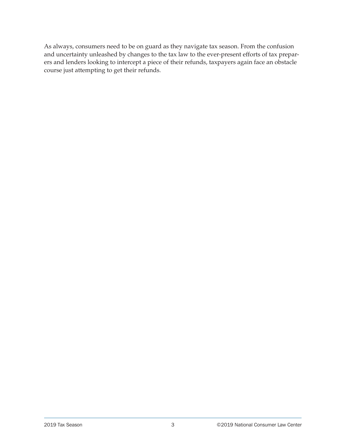As always, consumers need to be on guard as they navigate tax season. From the confusion and uncertainty unleashed by changes to the tax law to the ever-present efforts of tax preparers and lenders looking to intercept a piece of their refunds, taxpayers again face an obstacle course just attempting to get their refunds.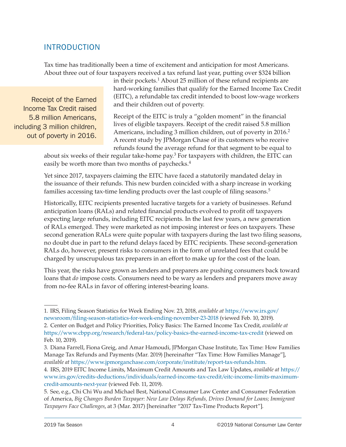### <span id="page-5-0"></span>INTRODUCTION

Tax time has traditionally been a time of excitement and anticipation for most Americans. About three out of four taxpayers received a tax refund last year, putting over \$324 billion

Receipt of the Earned Income Tax Credit raised 5.8 million Americans, including 3 million children, out of poverty in 2016.

in their pockets.<sup>1</sup> About 25 million of these refund recipients are hard-working families that qualify for the Earned Income Tax Credit (EITC), a refundable tax credit intended to boost low-wage workers and their children out of poverty.

Receipt of the EITC is truly a "golden moment" in the financial lives of eligible taxpayers. Receipt of the credit raised 5.8 million Americans, including 3 million children, out of poverty in 2016.<sup>2</sup> A recent study by JPMorgan Chase of its customers who receive refunds found the average refund for that segment to be equal to

about six weeks of their regular take-home pay.3 For taxpayers with children, the EITC can easily be worth more than two months of paychecks.<sup>4</sup>

Yet since 2017, taxpayers claiming the EITC have faced a statutorily mandated delay in the issuance of their refunds. This new burden coincided with a sharp increase in working families accessing tax-time lending products over the last couple of filing seasons.5

Historically, EITC recipients presented lucrative targets for a variety of businesses. Refund anticipation loans (RALs) and related financial products evolved to profit off taxpayers expecting large refunds, including EITC recipients. In the last few years, a new generation of RALs emerged. They were marketed as not imposing interest or fees on taxpayers. These second generation RALs were quite popular with taxpayers during the last two filing seasons, no doubt due in part to the refund delays faced by EITC recipients. These second-generation RALs do, however, present risks to consumers in the form of unrelated fees that could be charged by unscrupulous tax preparers in an effort to make up for the cost of the loan.

This year, the risks have grown as lenders and preparers are pushing consumers back toward loans that *do* impose costs. Consumers need to be wary as lenders and preparers move away from no-fee RALs in favor of offering interest-bearing loans.

<sup>1.</sup> IRS, Filing Season Statistics for Week Ending Nov. 23, 2018, *available at* [https://www.irs.gov/](https://www.irs.gov/newsroom/filing-season-statistics-for-week-ending-november-23-2018) [newsroom/filing-season-statistics-for-week-ending-november-23-2018](https://www.irs.gov/newsroom/filing-season-statistics-for-week-ending-november-23-2018) (viewed Feb. 10, 2019). 2. Center on Budget and Policy Priorities, Policy Basics: The Earned Income Tax Credit, *available at*

<https://www.cbpp.org/research/federal-tax/policy-basics-the-earned-income-tax-credit>(viewed on Feb. 10, 2019).

<sup>3.</sup> Diana Farrell, Fiona Greig, and Amar Hamoudi, JPMorgan Chase Institute, Tax Time: How Families Manage Tax Refunds and Payments (Mar. 2019) [hereinafter "Tax Time: How Families Manage"], *available at* <https://www.jpmorganchase.com/corporate/institute/report-tax-refunds.htm>.

<sup>4.</sup> IRS, 2019 EITC Income Limits, Maximum Credit Amounts and Tax Law Updates, *available at* [https://](https://www.irs.gov/credits-deductions/individuals/earned-income-tax-credit/eitc-income-limits-maximum-credit-amounts-next-year) [www.irs.gov/credits-deductions/individuals/earned-income-tax-credit/eitc-income-limits-maximum](https://www.irs.gov/credits-deductions/individuals/earned-income-tax-credit/eitc-income-limits-maximum-credit-amounts-next-year)[credit-amounts-next-year](https://www.irs.gov/credits-deductions/individuals/earned-income-tax-credit/eitc-income-limits-maximum-credit-amounts-next-year) (viewed Feb. 11, 2019).

<sup>5.</sup> See, e.g., Chi Chi Wu and Michael Best, National Consumer Law Center and Consumer Federation of America, *Big Changes Burden Taxpayer: New Law Delays Refunds, Drives Demand for Loans; Immigrant Taxpayers Face Challenges*, at 3 (Mar. 2017) [hereinafter "2017 Tax-Time Products Report"].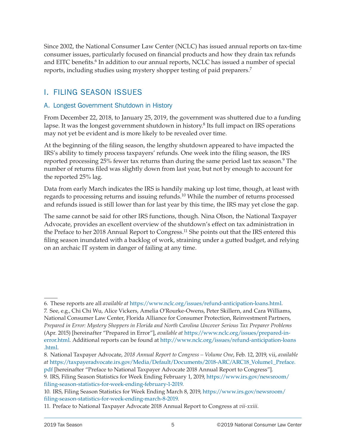<span id="page-6-0"></span>Since 2002, the National Consumer Law Center (NCLC) has issued annual reports on tax-time consumer issues, particularly focused on financial products and how they drain tax refunds and EITC benefits.<sup>6</sup> In addition to our annual reports, NCLC has issued a number of special reports, including studies using mystery shopper testing of paid preparers.7

### I. FILING SEASON ISSUES

### A. Longest Government Shutdown in History

From December 22, 2018, to January 25, 2019, the government was shuttered due to a funding lapse. It was the longest government shutdown in history.<sup>8</sup> Its full impact on IRS operations may not yet be evident and is more likely to be revealed over time.

At the beginning of the filing season, the lengthy shutdown appeared to have impacted the IRS's ability to timely process taxpayers' refunds. One week into the filing season, the IRS reported processing 25% fewer tax returns than during the same period last tax season.<sup>9</sup> The number of returns filed was slightly down from last year, but not by enough to account for the reported 25% lag.

Data from early March indicates the IRS is handily making up lost time, though, at least with regards to processing returns and issuing refunds.10 While the number of returns processed and refunds issued is still lower than for last year by this time, the IRS may yet close the gap.

The same cannot be said for other IRS functions, though. Nina Olson, the National Taxpayer Advocate, provides an excellent overview of the shutdown's effect on tax administration in the Preface to her 2018 Annual Report to Congress.<sup>11</sup> She points out that the IRS entered this filing season inundated with a backlog of work, straining under a gutted budget, and relying on an archaic IT system in danger of failing at any time.

6. These reports are all *available at* <https://www.nclc.org/issues/refund-anticipation-loans.html>.

7. See, e.g., Chi Chi Wu, Alice Vickers, Amelia O'Rourke-Owens, Peter Skillern, and Cara Williams, National Consumer Law Center, Florida Alliance for Consumer Protection, Reinvestment Partners, *Prepared in Error: Mystery Shoppers in Florida and North Carolina Uncover Serious Tax Preparer Problems* (Apr. 2015) [hereinafter "Prepared in Error"], *available at* [https://www.nclc.org/issues/prepared-in](https://www.nclc.org/issues/prepared-in-error.html)[error.html](https://www.nclc.org/issues/prepared-in-error.html). Additional reports can be found at [http://www.nclc.org/issues/refund-anticipation-loans](http://www.nclc.org/issues/refund-anticipation-loans.html) [.html](http://www.nclc.org/issues/refund-anticipation-loans.html).

<sup>8.</sup> National Taxpayer Advocate, *2018 Annual Report to Congress – Volume One*, Feb. 12, 2019, vii, *available at* [https://taxpayeradvocate.irs.gov/Media/Default/Documents/2018-ARC/ARC18\\_Volume1\\_Preface.](https://taxpayeradvocate.irs.gov/Media/Default/Documents/2018-ARC/ARC18_Volume1_Preface.pdf) [pdf](https://taxpayeradvocate.irs.gov/Media/Default/Documents/2018-ARC/ARC18_Volume1_Preface.pdf) [hereinafter "Preface to National Taxpayer Advocate 2018 Annual Report to Congress"].

<sup>9.</sup> IRS, Filing Season Statistics for Week Ending February 1, 2019, [https://www.irs.gov/newsroom/](https://www.irs.gov/newsroom/filing-season-statistics-for-week-ending-february-1-2019) [filing-season-statistics-for-week-ending-february-1-2019.](https://www.irs.gov/newsroom/filing-season-statistics-for-week-ending-february-1-2019)

<sup>10.</sup> IRS, Filing Season Statistics for Week Ending March 8, 2019, [https://www.irs.gov/newsroom/](https://www.irs.gov/newsroom/filing-season-statistics-for-week-ending-march-8-2019) [filing-season-statistics-for-week-ending-march-8-2019](https://www.irs.gov/newsroom/filing-season-statistics-for-week-ending-march-8-2019).

<sup>11.</sup> Preface to National Taxpayer Advocate 2018 Annual Report to Congress at *vii-xxiii*.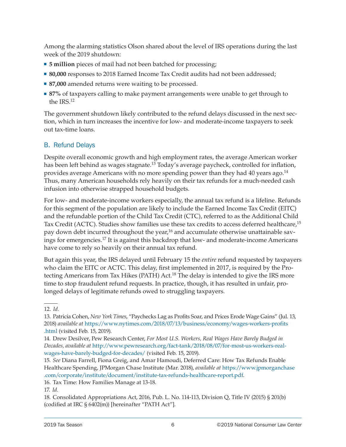<span id="page-7-0"></span>Among the alarming statistics Olson shared about the level of IRS operations during the last week of the 2019 shutdown:

- **5 million** pieces of mail had not been batched for processing;
- **80,000** responses to 2018 Earned Income Tax Credit audits had not been addressed;
- **87,000** amended returns were waiting to be processed.
- **87%** of taxpayers calling to make payment arrangements were unable to get through to the IRS.12

The government shutdown likely contributed to the refund delays discussed in the next section, which in turn increases the incentive for low- and moderate-income taxpayers to seek out tax-time loans.

### B. Refund Delays

Despite overall economic growth and high employment rates, the average American worker has been left behind as wages stagnate.<sup>13</sup> Today's average paycheck, controlled for inflation, provides average Americans with no more spending power than they had 40 years ago. $^{14}$ Thus, many American households rely heavily on their tax refunds for a much-needed cash infusion into otherwise strapped household budgets.

For low- and moderate-income workers especially, the annual tax refund is a lifeline. Refunds for this segment of the population are likely to include the Earned Income Tax Credit (EITC) and the refundable portion of the Child Tax Credit (CTC), referred to as the Additional Child Tax Credit (ACTC). Studies show families use these tax credits to access deferred healthcare,<sup>15</sup> pay down debt incurred throughout the year,<sup>16</sup> and accumulate otherwise unattainable savings for emergencies.17 It is against this backdrop that low- and moderate-income Americans have come to rely so heavily on their annual tax refund.

But again this year, the IRS delayed until February 15 the *entire* refund requested by taxpayers who claim the EITC or ACTC. This delay, first implemented in 2017, is required by the Protecting Americans from Tax Hikes (PATH) Act.<sup>18</sup> The delay is intended to give the IRS more time to stop fraudulent refund requests. In practice, though, it has resulted in unfair, prolonged delays of legitimate refunds owed to struggling taxpayers.

<sup>12.</sup> *Id.*

<sup>13.</sup> Patricia Cohen, *New York Times*, "Paychecks Lag as Profits Soar, and Prices Erode Wage Gains" (Jul. 13, 2018) *available at* [https://www.nytimes.com/2018/07/13/business/economy/wages-workers-profits](https://www.nytimes.com/2018/07/13/business/economy/wages-workers-profits.html) [.html](https://www.nytimes.com/2018/07/13/business/economy/wages-workers-profits.html) (visited Feb. 15, 2019).

<sup>14.</sup> Drew Desilver, Pew Research Center, *For Most U.S. Workers, Real Wages Have Barely Budged in Decades, available at* [http://www.pewresearch.org/fact-tank/2018/08/07/for-most-us-workers-real](http://www.pewresearch.org/fact-tank/2018/08/07/for-most-us-workers-real-wages-have-barely-budged-for-decades/)[wages-have-barely-budged-for-decades/](http://www.pewresearch.org/fact-tank/2018/08/07/for-most-us-workers-real-wages-have-barely-budged-for-decades/) (visited Feb. 15, 2019).

<sup>15.</sup> *See* Diana Farrell, Fiona Greig, and Amar Hamoudi, Deferred Care: How Tax Refunds Enable Healthcare Spending, JPMorgan Chase Institute (Mar. 2018), *available at* [https://www.jpmorganchase](https://www.jpmorganchase.com/corporate/institute/document/institute-tax-refunds-healthcare-report.pdf) [.com/corporate/institute/document/institute-tax-refunds-healthcare-report.pdf](https://www.jpmorganchase.com/corporate/institute/document/institute-tax-refunds-healthcare-report.pdf).

<sup>16.</sup> Tax Time: How Families Manage at 13-18.

<sup>17.</sup> *Id.*

<sup>18.</sup> Consolidated Appropriations Act, 2016, Pub. L. No. 114-113, Division Q, Title IV (2015) § 201(b) (codified at IRC § 6402(m)) [hereinafter "PATH Act"].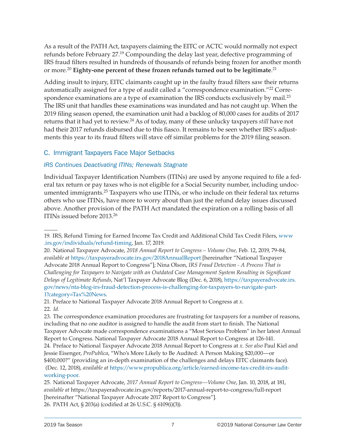<span id="page-8-0"></span>As a result of the PATH Act, taxpayers claiming the EITC or ACTC would normally not expect refunds before February 27.19 Compounding the delay last year, defective programming of IRS fraud filters resulted in hundreds of thousands of refunds being frozen for another month or more.20 **Eighty-one percent of these frozen refunds turned out to be legitimate**. 21

Adding insult to injury, EITC claimants caught up in the faulty fraud filters saw their returns automatically assigned for a type of audit called a "correspondence examination."<sup>22</sup> Correspondence examinations are a type of examination the IRS conducts exclusively by mail.<sup>23</sup> The IRS unit that handles these examinations was inundated and has not caught up. When the 2019 filing season opened, the examination unit had a backlog of 80,000 cases for audits of 2017 returns that it had yet to review.24 As of today, many of these unlucky taxpayers *still* have not had their 2017 refunds disbursed due to this fiasco. It remains to be seen whether IRS's adjustments this year to its fraud filters will stave off similar problems for the 2019 filing season.

### C. Immigrant Taxpayers Face Major Setbacks

### *IRS Continues Deactivating ITINs; Renewals Stagnate*

Individual Taxpayer Identification Numbers (ITINs) are used by anyone required to file a federal tax return or pay taxes who is not eligible for a Social Security number, including undocumented immigrants.<sup>25</sup> Taxpayers who use ITINs, or who include on their federal tax returns others who use ITINs, have more to worry about than just the refund delay issues discussed above. Another provision of the PATH Act mandated the expiration on a rolling basis of all ITINs issued before 2013.26

<sup>19.</sup> IRS, Refund Timing for Earned Income Tax Credit and Additional Child Tax Credit Filers, [www](https://www.irs.gov/individuals/refund-timing) [.irs.gov/individuals/refund-timing](https://www.irs.gov/individuals/refund-timing), Jan. 17, 2019.

<sup>20.</sup> National Taxpayer Advocate, *2018 Annual Report to Congress – Volume One,* Feb. 12, 2019, 79-84, *available at* <https://taxpayeradvocate.irs.gov/2018AnnualReport>[hereinafter "National Taxpayer Advocate 2018 Annual Report to Congress"]; Nina Olson, *IRS Fraud Detection - A Process That is Challenging for Taxpayers to Navigate with an Outdated Case Management System Resulting in Significant Delays of Legitimate Refunds*, Nat'l Taxpayer Advocate Blog (Dec. 6, 2018), [https://taxpayeradvocate.irs.](https://taxpayeradvocate.irs.gov/news/nta-blog-irs-fraud-detection-process-is-challenging-for-taxpayers-to-navigate-part-1?category=Tax News) [gov/news/nta-blog-irs-fraud-detection-process-is-challenging-for-taxpayers-to-navigate-part-](https://taxpayeradvocate.irs.gov/news/nta-blog-irs-fraud-detection-process-is-challenging-for-taxpayers-to-navigate-part-1?category=Tax News)[1?category=Tax%20News.](https://taxpayeradvocate.irs.gov/news/nta-blog-irs-fraud-detection-process-is-challenging-for-taxpayers-to-navigate-part-1?category=Tax News)

<sup>21.</sup> Preface to National Taxpayer Advocate 2018 Annual Report to Congress at *x*. 22. *Id.*

<sup>23.</sup> The correspondence examination procedures are frustrating for taxpayers for a number of reasons, including that no one auditor is assigned to handle the audit from start to finish. The National Taxpayer Advocate made correspondence examinations a "Most Serious Problem" in her latest Annual Report to Congress. National Taxpayer Advocate 2018 Annual Report to Congress at 126-141. 24. Preface to National Taxpayer Advocate 2018 Annual Report to Congress at *x*. *See also* Paul Kiel and Jessie Eisenger, *ProPublica*, "Who's More Likely to Be Audited: A Person Making \$20,000—or \$400,000?" (providing an in-depth examination of the challenges and delays EITC claimants face). (Dec. 12, 2018), *available at* [https://www.propublica.org/article/earned-income-tax-credit-irs-audit](https://www.propublica.org/article/earned-income-tax-credit-irs-audit-working-poor)[working-poor.](https://www.propublica.org/article/earned-income-tax-credit-irs-audit-working-poor)

<sup>25.</sup> National Taxpayer Advocate, *2017 Annual Report to Congress—Volume One*, Jan. 10, 2018, at 181, *available at* https://taxpayeradvocate.irs.gov/reports/2017-annual-report-to-congress/full-report [hereinafter "National Taxpayer Advocate 2017 Report to Congress"]. 26. PATH Act, § 203(a) (codified at 26 U.S.C. § 6109(i)(3)).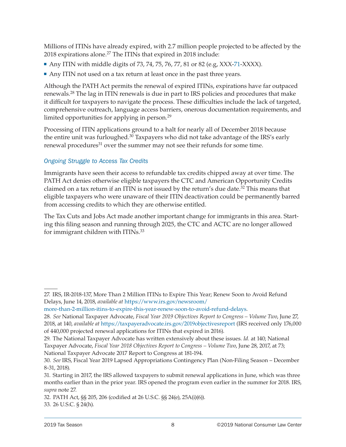Millions of ITINs have already expired, with 2.7 million people projected to be affected by the 2018 expirations alone.<sup>27</sup> The ITINs that expired in 2018 include:

- Any ITIN with middle digits of 73, 74, 75, 76, 77, 81 or 82 (e.g,  $XXX-71-XXXX$ ).
- Any ITIN not used on a tax return at least once in the past three years.

Although the PATH Act permits the renewal of expired ITINs, expirations have far outpaced renewals.28 The lag in ITIN renewals is due in part to IRS policies and procedures that make it difficult for taxpayers to navigate the process. These difficulties include the lack of targeted, comprehensive outreach, language access barriers, onerous documentation requirements, and limited opportunities for applying in person.29

Processing of ITIN applications ground to a halt for nearly all of December 2018 because the entire unit was furloughed.<sup>30</sup> Taxpayers who did not take advantage of the IRS's early renewal procedures<sup>31</sup> over the summer may not see their refunds for some time.

### *Ongoing Struggle to Access Tax Credits*

Immigrants have seen their access to refundable tax credits chipped away at over time. The PATH Act denies otherwise eligible taxpayers the CTC and American Opportunity Credits claimed on a tax return if an ITIN is not issued by the return's due date.<sup>32</sup> This means that eligible taxpayers who were unaware of their ITIN deactivation could be permanently barred from accessing credits to which they are otherwise entitled.

The Tax Cuts and Jobs Act made another important change for immigrants in this area. Starting this filing season and running through 2025, the CTC and ACTC are no longer allowed for immigrant children with ITINs.33

33. 26 U.S.C. § 24(h).

<sup>27.</sup> IRS, IR-2018-137, More Than 2 Million ITINs to Expire This Year; Renew Soon to Avoid Refund Delays, June 14, 2018, *available at* [https://www.irs.gov/newsroom/](https://www.irs.gov/newsroom/more-than-2-million-itins-to-expire-this-year-renew-soon-to-avoid-refund-delays)

[more-than-2-million-itins-to-expire-this-year-renew-soon-to-avoid-refund-delays](https://www.irs.gov/newsroom/more-than-2-million-itins-to-expire-this-year-renew-soon-to-avoid-refund-delays).

<sup>28.</sup> *See* National Taxpayer Advocate, *Fiscal Year 2019 Objectives Report to Congress – Volume Two*, June 27, 2018, at 140, *available at* <https://taxpayeradvocate.irs.gov/2019objectivesreport> (IRS received only 176,000 of 440,000 projected renewal applications for ITINs that expired in 2016).

<sup>29.</sup> The National Taxpayer Advocate has written extensively about these issues. *Id.* at 140; National Taxpayer Advocate, *Fiscal Year 2018 Objectives Report to Congress – Volume Two*, June 28, 2017, at 73; National Taxpayer Advocate 2017 Report to Congress at 181-194.

<sup>30.</sup> *See* IRS, Fiscal Year 2019 Lapsed Appropriations Contingency Plan (Non-Filing Season – December 8-31, 2018).

<sup>31.</sup> Starting in 2017, the IRS allowed taxpayers to submit renewal applications in June, which was three months earlier than in the prior year. IRS opened the program even earlier in the summer for 2018. IRS, *supra* note 27.

<sup>32.</sup> PATH Act, §§ 205, 206 (codified at 26 U.S.C. §§ 24(e), 25A(i)(6)).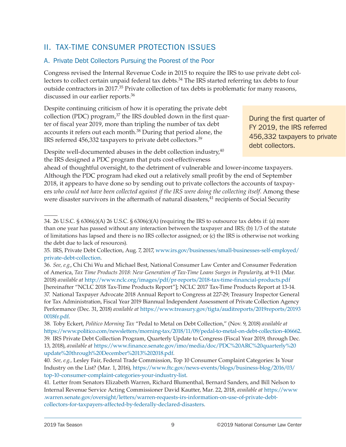### <span id="page-10-0"></span>II. TAX-TIME CONSUMER PROTECTION ISSUES

### A. Private Debt Collectors Pursuing the Poorest of the Poor

Congress revised the Internal Revenue Code in 2015 to require the IRS to use private debt collectors to collect certain unpaid federal tax debts.<sup>34</sup> The IRS started referring tax debts to four outside contractors in 2017.35 Private collection of tax debts is problematic for many reasons, discussed in our earlier reports.36

Despite continuing criticism of how it is operating the private debt collection (PDC) program, $37$  the IRS doubled down in the first quarter of fiscal year 2019, more than tripling the number of tax debt accounts it refers out each month.<sup>38</sup> During that period alone, the IRS referred 456,332 taxpayers to private debt collectors.39

During the first quarter of FY 2019, the IRS referred 456,332 taxpayers to private debt collectors.

Despite well-documented abuses in the debt collection industry,<sup>40</sup> the IRS designed a PDC program that puts cost-effectiveness

ahead of thoughtful oversight, to the detriment of vulnerable and lower-income taxpayers. Although the PDC program had eked out a relatively small profit by the end of September 2018, it appears to have done so by sending out to private collectors the accounts of taxpayers *who could not have been collected against if the IRS were doing the collecting itself*. Among these were disaster survivors in the aftermath of natural disasters, $41$  recipients of Social Security

<sup>34. 26</sup> U.S.C. § 6306(c)(A) 26 U.S.C. § 6306(c)(A) (requiring the IRS to outsource tax debts if: (a) more than one year has passed without any interaction between the taxpayer and IRS; (b) 1/3 of the statute of limitations has lapsed and there is no IRS collector assigned; or (c) the IRS is otherwise not working the debt due to lack of resources).

<sup>35.</sup> IRS, Private Debt Collection, Aug. 7, 2017, [www.irs.gov/businesses/small-businesses-self-employed/](http://www.irs.gov/businesses/small-businesses-self-employed/private-debt-collection) [private-debt-collection.](http://www.irs.gov/businesses/small-businesses-self-employed/private-debt-collection)

<sup>36.</sup> *See, e.g.*, Chi Chi Wu and Michael Best, National Consumer Law Center and Consumer Federation of America, *Tax Time Products 2018: New Generation of Tax-Time Loans Surges in Popularity*, at 9-11 (Mar. 2018) *available at* <http://www.nclc.org/images/pdf/pr-reports/2018-tax-time-financial-products.pdf> [hereinafter "NCLC 2018 Tax-Time Products Report"]; NCLC 2017 Tax-Time Products Report at 13-14.

<sup>37.</sup> National Taxpayer Advocate 2018 Annual Report to Congress at 227-29; Treasury Inspector General for Tax Administration, Fiscal Year 2019 Biannual Independent Assessment of Private Collection Agency Performance (Dec. 31, 2018) *available at* [https://www.treasury.gov/tigta/auditreports/2019reports/20193](https://www.treasury.gov/tigta/auditreports/2019reports/201930018fr.pdf) [0018fr.pdf.](https://www.treasury.gov/tigta/auditreports/2019reports/201930018fr.pdf)

<sup>38.</sup> Toby Eckert, *Politico Morning Tax* "Pedal to Metal on Debt Collection," (Nov. 9, 2018) *available at* <https://www.politico.com/newsletters/morning-tax/2018/11/09/pedal-to-metal-on-debt-collection-406662>. 39. IRS Private Debt Collection Program, Quarterly Update to Congress (Fiscal Year 2019, through Dec. 13, 2018), *available at* [https://www.finance.senate.gov/imo/media/doc/PDC%20ARC%20quarterly%20](https://www.finance.senate.gov/imo/media/doc/PDC ARC quarterly update through December 13 2018.pdf) [update%20through%20December%2013%202018.pdf](https://www.finance.senate.gov/imo/media/doc/PDC ARC quarterly update through December 13 2018.pdf).

<sup>40.</sup> *See, e.g.,* Lesley Fair, Federal Trade Commission, Top 10 Consumer Complaint Categories: Is Your Industry on the List? (Mar. 1, 2016), [https://www.ftc.gov/news-events/blogs/business-blog/2016/03/](https://www.ftc.gov/news-events/blogs/business-blog/2016/03/top-10-consumer-complaint-categories-your-industry-list) [top-10-consumer-complaint-categories-your-industry-list](https://www.ftc.gov/news-events/blogs/business-blog/2016/03/top-10-consumer-complaint-categories-your-industry-list).

<sup>41.</sup> Letter from Senators Elizabeth Warren, Richard Blumenthal, Bernard Sanders, and Bill Nelson to Internal Revenue Service Acting Commissioner David Kautter, Mar. 22, 2018, *available at* [https://www](https://www.warren.senate.gov/oversight/letters/warren-requests-irs-information-on-use-of-private-debt-collectors-for-taxpayers-affected-by-federally-declared-disasters) [.warren.senate.gov/oversight/letters/warren-requests-irs-information-on-use-of-private-debt](https://www.warren.senate.gov/oversight/letters/warren-requests-irs-information-on-use-of-private-debt-collectors-for-taxpayers-affected-by-federally-declared-disasters)[collectors-for-taxpayers-affected-by-federally-declared-disasters.](https://www.warren.senate.gov/oversight/letters/warren-requests-irs-information-on-use-of-private-debt-collectors-for-taxpayers-affected-by-federally-declared-disasters)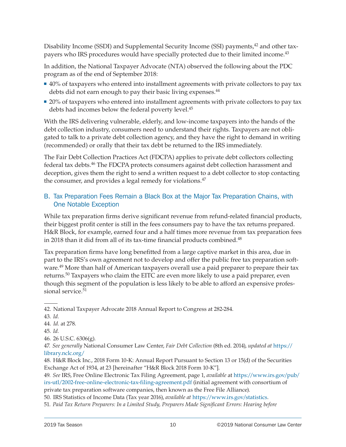<span id="page-11-0"></span>Disability Income (SSDI) and Supplemental Security Income (SSI) payments,<sup>42</sup> and other taxpayers who IRS procedures would have specially protected due to their limited income.<sup>43</sup>

In addition, the National Taxpayer Advocate (NTA) observed the following about the PDC program as of the end of September 2018:

- 40% of taxpayers who entered into installment agreements with private collectors to pay tax debts did not earn enough to pay their basic living expenses.<sup>44</sup>
- **20%** of taxpayers who entered into installment agreements with private collectors to pay tax debts had incomes below the federal poverty level.45

With the IRS delivering vulnerable, elderly, and low-income taxpayers into the hands of the debt collection industry, consumers need to understand their rights. Taxpayers are not obligated to talk to a private debt collection agency, and they have the right to demand in writing (recommended) or orally that their tax debt be returned to the IRS immediately.

The Fair Debt Collection Practices Act (FDCPA) applies to private debt collectors collecting federal tax debts.<sup>46</sup> The FDCPA protects consumers against debt collection harassment and deception, gives them the right to send a written request to a debt collector to stop contacting the consumer, and provides a legal remedy for violations.<sup>47</sup>

### B. Tax Preparation Fees Remain a Black Box at the Major Tax Preparation Chains, with One Notable Exception

While tax preparation firms derive significant revenue from refund-related financial products, their biggest profit center is still in the fees consumers pay to have the tax returns prepared. H&R Block, for example, earned four and a half times more revenue from tax preparation fees in 2018 than it did from all of its tax-time financial products combined.<sup>48</sup>

Tax preparation firms have long benefitted from a large captive market in this area, due in part to the IRS's own agreement not to develop and offer the public free tax preparation software.<sup>49</sup> More than half of American taxpayers overall use a paid preparer to prepare their tax returns.<sup>50</sup> Taxpayers who claim the EITC are even more likely to use a paid preparer, even though this segment of the population is less likely to be able to afford an expensive professional service.<sup>51</sup>

- 45. *Id.*
- 46. 26 U.S.C. 6306(g).

47. *See generally* National Consumer Law Center, *Fair Debt Collection* (8th ed. 2014), *updated at* [https://](https://library.nclc.org/) [library.nclc.org/](https://library.nclc.org/)

49. *See* IRS, Free Online Electronic Tax Filing Agreement, page 1, *available* at [https://www.irs.gov/pub/](https://www.irs.gov/pub/irs-utl/2002-free-online-electronic-tax-filing-agreement.pdf) [irs-utl/2002-free-online-electronic-tax-filing-agreement.pdf](https://www.irs.gov/pub/irs-utl/2002-free-online-electronic-tax-filing-agreement.pdf) (initial agreement with consortium of private tax preparation software companies, then known as the Free File Alliance).

50. IRS Statistics of Income Data (Tax year 2016), *available at* [https://www.irs.gov/statistics.](https://www.irs.gov/statistics)

51. *Paid Tax Return Preparers: In a Limited Study, Preparers Made Significant Errors: Hearing before* 

<sup>42.</sup> National Taxpayer Advocate 2018 Annual Report to Congress at 282-284.

<sup>43.</sup> *Id.*

<sup>44.</sup> *Id*. at 278.

<sup>48.</sup> H&R Block Inc., 2018 Form 10-K: Annual Report Pursuant to Section 13 or 15(d) of the Securities Exchange Act of 1934, at 23 [hereinafter "H&R Block 2018 Form 10-K"].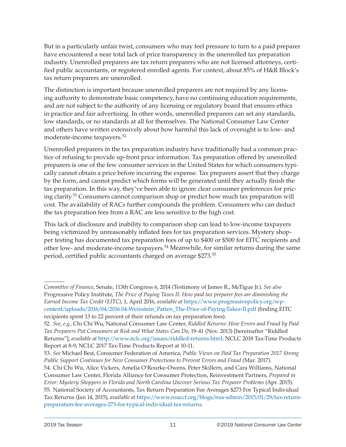But in a particularly unfair twist, consumers who may feel pressure to turn to a paid preparer have encountered a near total lack of price transparency in the unenrolled tax preparation industry. Unenrolled preparers are tax return preparers who are not licensed attorneys, certified public accountants, or registered enrolled agents. For context, about 85% of H&R Block's tax return preparers are unenrolled.

The distinction is important because unenrolled preparers are not required by any licensing authority to demonstrate basic competency, have no continuing education requirements, and are not subject to the authority of any licensing or regulatory board that ensures ethics in practice and fair advertising. In other words, unenrolled preparers can set any standards, low standards, or no standards at all for themselves. The National Consumer Law Center and others have written extensively about how harmful this lack of oversight is to low- and moderate-income taxpayers.52

Unenrolled preparers in the tax preparation industry have traditionally had a common practice of refusing to provide up-front price information. Tax preparation offered by unenrolled preparers is one of the few consumer services in the United States for which consumers typically cannot obtain a price before incurring the expense. Tax preparers assert that they charge by the form, and cannot predict which forms will be generated until they actually finish the tax preparation. In this way, they've been able to ignore clear consumer preferences for pricing clarity.53 Consumers cannot comparison shop or predict how much tax preparation will cost. The availability of RACs further compounds the problem. Consumers who can deduct the tax preparation fees from a RAC are less sensitive to the high cost.

This lack of disclosure and inability to comparison shop can lead to low-income taxpayers being victimized by unreasonably inflated fees for tax preparation services. Mystery shopper testing has documented tax preparation fees of up to \$400 or \$500 for EITC recipients and other low- and moderate-income taxpayers.54 Meanwhile, for similar returns during the same period, certified public accountants charged on average \$273.55

*Committee of Finance*, Senate, 113th Congress 6, 2014 (Testimony of James R., McTigue Jr.). *See also*  Progressive Policy Institute, *The Price of Paying Taxes II: How paid tax preparer fees are diminishing the Earned Income Tax Credit (EITC)*, 1, April 2016, *available at* [https://www.progressivepolicy.org/wp](https://www.progressivepolicy.org/wp-content/uploads/2016/04/2016.04-Weinstein_Patten_The-Price-of-Paying-Takes-II.pdf)[content/uploads/2016/04/2016.04-Weinstein\\_Patten\\_The-Price-of-Paying-Takes-II.pdf](https://www.progressivepolicy.org/wp-content/uploads/2016/04/2016.04-Weinstein_Patten_The-Price-of-Paying-Takes-II.pdf) (finding EITC recipients spent 13 to 22 percent of their refunds on tax preparation fees).

<sup>52.</sup> *See, e.g.*, Chi Chi Wu, National Consumer Law Center, *Riddled Returns: How Errors and Fraud by Paid Tax Preparers Put Consumers at Risk and What States Can Do*, 19-41 (Nov. 2013) [hereinafter "Riddled Returns"], *available at* [http://www.nclc.org/issues/riddled-returns.html;](http://www.nclc.org/issues/riddled-returns.html) NCLC 2018 Tax-Time Products Report at 8-9; NCLC 2017 Tax-Time Products Report at 10-11.

<sup>53.</sup> *See* Michael Best, Consumer Federation of America, *Public Views on Paid Tax Preparation 2017 Strong Public Support Continues for New Consumer Protections to Prevent Errors and Fraud* (Mar. 2017).

<sup>54.</sup> Chi Chi Wu, Alice Vickers, Amelia O'Rourke-Owens, Peter Skillern, and Cara Williams, National Consumer Law Center, Florida Alliance for Consumer Protection, Reinvestment Partners, *Prepared in Error: Mystery Shoppers in Florida and North Carolina Uncover Serious Tax Preparer Problems* (Apr. 2015). 55. National Society of Accountants, Tax Return Preparation Fee Averages \$273 For Typical Individual Tax Returns (Jan 14, 2015), *available at* [https://www.nsacct.org/blogs/nsa-admin/2015/01/29/tax-return](https://www.nsacct.org/blogs/nsa-admin/2015/01/29/tax-return-preparation-fee-averages-273-for-typical-individual-tax-returns)[preparation-fee-averages-273-for-typical-individual-tax-returns](https://www.nsacct.org/blogs/nsa-admin/2015/01/29/tax-return-preparation-fee-averages-273-for-typical-individual-tax-returns).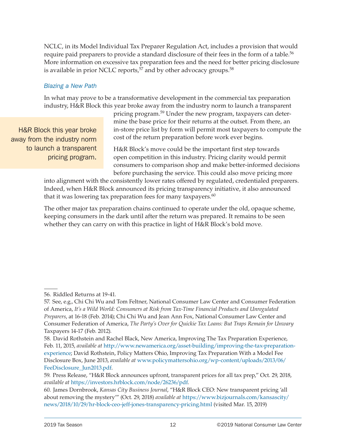NCLC, in its Model Individual Tax Preparer Regulation Act, includes a provision that would require paid preparers to provide a standard disclosure of their fees in the form of a table.<sup>56</sup> More information on excessive tax preparation fees and the need for better pricing disclosure is available in prior NCLC reports,<sup>57</sup> and by other advocacy groups.<sup>58</sup>

#### *Blazing a New Path*

In what may prove to be a transformative development in the commercial tax preparation industry, H&R Block this year broke away from the industry norm to launch a transparent

H&R Block this year broke away from the industry norm to launch a transparent pricing program.

pricing program.59 Under the new program, taxpayers can determine the base price for their returns at the outset. From there, an in-store price list by form will permit most taxpayers to compute the cost of the return preparation before work ever begins.

H&R Block's move could be the important first step towards open competition in this industry. Pricing clarity would permit consumers to comparison shop and make better-informed decisions before purchasing the service. This could also move pricing more

into alignment with the consistently lower rates offered by regulated, credentialed preparers. Indeed, when H&R Block announced its pricing transparency initiative, it also announced that it was lowering tax preparation fees for many taxpayers. $60$ 

The other major tax preparation chains continued to operate under the old, opaque scheme, keeping consumers in the dark until after the return was prepared. It remains to be seen whether they can carry on with this practice in light of H&R Block's bold move.

<sup>56.</sup> Riddled Returns at 19-41.

<sup>57.</sup> See, e.g., Chi Chi Wu and Tom Feltner, National Consumer Law Center and Consumer Federation of America, *It's a Wild World: Consumers at Risk from Tax-Time Financial Products and Unregulated Preparers*, at 16-18 (Feb. 2014); Chi Chi Wu and Jean Ann Fox, National Consumer Law Center and Consumer Federation of America, *The Party's Over for Quickie Tax Loans: But Traps Remain for Unwary* Taxpayers 14-17 (Feb. 2012).

<sup>58.</sup> David Rothstein and Rachel Black, New America, Improving The Tax Preparation Experience, Feb. 11, 2015, *available at* [http://www.newamerica.org/asset-building/improving-the-tax-preparation](http://www.newamerica.org/asset-building/improving-the-tax-preparation-experience)[experience](http://www.newamerica.org/asset-building/improving-the-tax-preparation-experience); David Rothstein, Policy Matters Ohio, Improving Tax Preparation With a Model Fee Disclosure Box, June 2013, *available at* [www.policymattersohio.org/wp-content/uploads/2013/06/](http://www.policymattersohio.org/wp-content/uploads/2013/06/FeeDisclosure_Jun2013.pdf) [FeeDisclosure\\_Jun2013.pdf](http://www.policymattersohio.org/wp-content/uploads/2013/06/FeeDisclosure_Jun2013.pdf).

<sup>59.</sup> Press Release, "H&R Block announces upfront, transparent prices for all tax prep," Oct. 29, 2018, *available at* <https://investors.hrblock.com/node/26236/pdf>.

<sup>60.</sup> James Dornbrook, *Kansas City Business Journal*, "H&R Block CEO: New transparent pricing 'all about removing the mystery'" (Oct. 29, 2018) *available at* [https://www.bizjournals.com/kansascity/](https://www.bizjournals.com/kansascity/news/2018/10/29/hr-block-ceo-jeff-jones-transparency-pricing.html) [news/2018/10/29/hr-block-ceo-jeff-jones-transparency-pricing.html](https://www.bizjournals.com/kansascity/news/2018/10/29/hr-block-ceo-jeff-jones-transparency-pricing.html) (visited Mar. 15, 2019)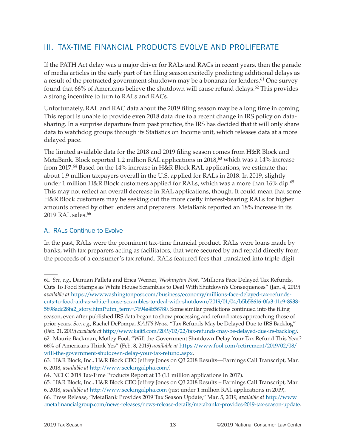### <span id="page-14-0"></span>III. TAX-TIME FINANCIAL PRODUCTS EVOLVE AND PROLIFERATE

If the PATH Act delay was a major driver for RALs and RACs in recent years, then the parade of media articles in the early part of tax filing season excitedly predicting additional delays as a result of the protracted government shutdown may be a bonanza for lenders.<sup>61</sup> One survey found that  $66\%$  of Americans believe the shutdown will cause refund delays.<sup>62</sup> This provides a strong incentive to turn to RALs and RACs.

Unfortunately, RAL and RAC data about the 2019 filing season may be a long time in coming. This report is unable to provide even 2018 data due to a recent change in IRS policy on datasharing. In a surprise departure from past practice, the IRS has decided that it will only share data to watchdog groups through its Statistics on Income unit, which releases data at a more delayed pace.

The limited available data for the 2018 and 2019 filing season comes from H&R Block and MetaBank. Block reported 1.2 million RAL applications in 2018,<sup>63</sup> which was a 14% increase from 2017.<sup>64</sup> Based on the 14% increase in H&R Block RAL applications, we estimate that about 1.9 million taxpayers overall in the U.S. applied for RALs in 2018. In 2019, slightly under 1 million H&R Block customers applied for RALs, which was a more than  $16\%$  dip.<sup>65</sup> This may not reflect an overall decrease in RAL applications, though. It could mean that some H&R Block customers may be seeking out the more costly interest-bearing RALs for higher amounts offered by other lenders and preparers. MetaBank reported an 18% increase in its 2019 RAL sales.<sup>66</sup>

### A. RALs Continue to Evolve

In the past, RALs were the prominent tax-time financial product. RALs were loans made by banks, with tax preparers acting as facilitators, that were secured by and repaid directly from the proceeds of a consumer's tax refund. RALs featured fees that translated into triple-digit

<sup>61.</sup> *See, e.g.*, Damian Palleta and Erica Werner, *Washington Post*, "Millions Face Delayed Tax Refunds, Cuts To Food Stamps as White House Scrambles to Deal With Shutdown's Consequences" (Jan. 4, 2019) *available at* [https://www.washingtonpost.com/business/economy/millions-face-delayed-tax-refunds](https://www.washingtonpost.com/business/economy/millions-face-delayed-tax-refunds-cuts-to-food-aid-as-white-house-scrambles-to-deal-with-shutdown/2019/01/04/b5b58616-0fa3-11e9-8938-5898adc28fa2_story.html?utm_term=.7694a4b56780)[cuts-to-food-aid-as-white-house-scrambles-to-deal-with-shutdown/2019/01/04/b5b58616-0fa3-11e9-8938-](https://www.washingtonpost.com/business/economy/millions-face-delayed-tax-refunds-cuts-to-food-aid-as-white-house-scrambles-to-deal-with-shutdown/2019/01/04/b5b58616-0fa3-11e9-8938-5898adc28fa2_story.html?utm_term=.7694a4b56780) [5898adc28fa2\\_story.html?utm\\_term=.7694a4b56780.](https://www.washingtonpost.com/business/economy/millions-face-delayed-tax-refunds-cuts-to-food-aid-as-white-house-scrambles-to-deal-with-shutdown/2019/01/04/b5b58616-0fa3-11e9-8938-5898adc28fa2_story.html?utm_term=.7694a4b56780) Some similar predictions continued into the filing season, even after published IRS data began to show processing and refund rates approaching those of prior years. *See, e.g.*, Rachel DePompa, *KAIT8 News*, "Tax Refunds May be Delayed Due to IRS Backlog" (Feb. 21, 2019) *available at* [http://www.kait8.com/2019/02/22/tax-refunds-may-be-delayed-due-irs-backlog/.](http://www.kait8.com/2019/02/22/tax-refunds-may-be-delayed-due-irs-backlog/) 62. Maurie Backman, Motley Fool, "Will the Government Shutdown Delay Your Tax Refund This Year? 66% of Americans Think Yes" (Feb. 8, 2019) *available at* [https://www.fool.com/retirement/2019/02/08/](https://www.fool.com/retirement/2019/02/08/will-the-government-shutdown-delay-your-tax-refund.aspx) [will-the-government-shutdown-delay-your-tax-refund.aspx](https://www.fool.com/retirement/2019/02/08/will-the-government-shutdown-delay-your-tax-refund.aspx).

<sup>63.</sup> H&R Block, Inc., H&R Block CEO Jeffrey Jones on Q3 2018 Results—Earnings Call Transcript, Mar. 6, 2018, *available at* <http://www.seekingalpha.com/>.

<sup>64.</sup> NCLC 2018 Tax-Time Products Report at 13 (1.1 million applications in 2017).

<sup>65.</sup> H&R Block, Inc., H&R Block CEO Jeffrey Jones on Q3 2018 Results – Earnings Call Transcript, Mar. 6, 2018, *available at* <http://www.seekingalpha.com> (just under 1 million RAL applications in 2019). 66. Press Release, "MetaBank Provides 2019 Tax Season Update," Mar. 5, 2019, *available at* [http://www](http://www.metafinancialgroup.com/news-releases/news-release-details/metabankr-provides-2019-tax-season-update) [.metafinancialgroup.com/news-releases/news-release-details/metabankr-provides-2019-tax-season-update.](http://www.metafinancialgroup.com/news-releases/news-release-details/metabankr-provides-2019-tax-season-update)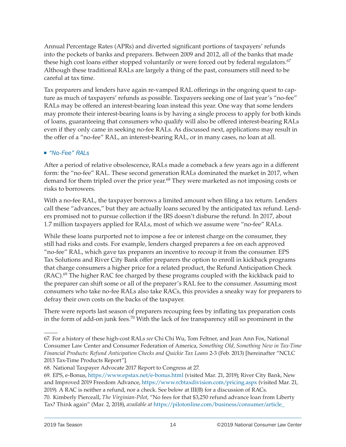Annual Percentage Rates (APRs) and diverted significant portions of taxpayers' refunds into the pockets of banks and preparers. Between 2009 and 2012, all of the banks that made these high cost loans either stopped voluntarily or were forced out by federal regulators.<sup>67</sup> Although these traditional RALs are largely a thing of the past, consumers still need to be careful at tax time.

Tax preparers and lenders have again re-vamped RAL offerings in the ongoing quest to capture as much of taxpayers' refunds as possible. Taxpayers seeking one of last year's "no-fee" RALs may be offered an interest-bearing loan instead this year. One way that some lenders may promote their interest-bearing loans is by having a single process to apply for both kinds of loans, guaranteeing that consumers who qualify will also be offered interest-bearing RALs even if they only came in seeking no-fee RALs. As discussed next, applications may result in the offer of a "no-fee" RAL, an interest-bearing RAL, or in many cases, no loan at all.

### *"No-Fee" RALs*

After a period of relative obsolescence, RALs made a comeback a few years ago in a different form: the "no-fee" RAL. These second generation RALs dominated the market in 2017, when demand for them tripled over the prior year.<sup>68</sup> They were marketed as not imposing costs or risks to borrowers.

With a no-fee RAL, the taxpayer borrows a limited amount when filing a tax return. Lenders call these "advances," but they are actually loans secured by the anticipated tax refund. Lenders promised not to pursue collection if the IRS doesn't disburse the refund. In 2017, about 1.7 million taxpayers applied for RALs, most of which we assume were "no-fee" RALs.

While these loans purported not to impose a fee or interest charge on the consumer, they still had risks and costs. For example, lenders charged preparers a fee on each approved "no-fee" RAL, which gave tax preparers an incentive to recoup it from the consumer. EPS Tax Solutions and River City Bank offer preparers the option to enroll in kickback programs that charge consumers a higher price for a related product, the Refund Anticipation Check  $(RAC)$ .<sup>69</sup> The higher RAC fee charged by these programs coupled with the kickback paid to the preparer can shift some or all of the preparer's RAL fee to the consumer. Assuming most consumers who take no-fee RALs also take RACs, this provides a sneaky way for preparers to defray their own costs on the backs of the taxpayer.

There were reports last season of preparers recouping fees by inflating tax preparation costs in the form of add-on junk fees.<sup>70</sup> With the lack of fee transparency still so prominent in the

<sup>67.</sup> For a history of these high-cost RALs *see* Chi Chi Wu, Tom Feltner, and Jean Ann Fox, National Consumer Law Center and Consumer Federation of America, *Something Old, Something New in Tax-Time Financial Products: Refund Anticipation Checks and Quickie Tax Loans* 2-3 (Feb. 2013) [hereinafter "NCLC 2013 Tax-Time Products Report"].

<sup>68.</sup> National Taxpayer Advocate 2017 Report to Congress at 27.

<sup>69.</sup> EPS, e-Bonus, <https://www.epstax.net/e-bonus.html>(visited Mar. 21, 2019); River City Bank, New and Improved 2019 Freedom Advance, https://www.rcbtaxdivision.com/pricing.aspx (visited Mar. 21, 2019). A RAC is neither a refund, nor a check. See below at III(B) for a discussion of RACs.

<sup>70.</sup> Kimberly Pierceall, *The Virginian-Pilot*, "No fees for that \$3,250 refund advance loan from Liberty Tax? Think again" (Mar. 2, 2018), *available at* [https://pilotonline.com/business/consumer/article\\_](https://pilotonline.com/business/consumer/article_4accf2f9-b76a-5ce0-9404-2138eca89d5d.html)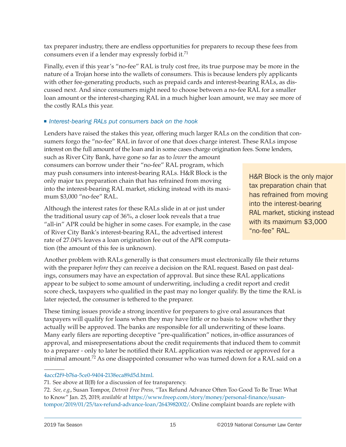tax preparer industry, there are endless opportunities for preparers to recoup these fees from consumers even if a lender may expressly forbid it.<sup>71</sup>

Finally, even if this year's "no-fee" RAL is truly cost free, its true purpose may be more in the nature of a Trojan horse into the wallets of consumers. This is because lenders ply applicants with other fee-generating products, such as prepaid cards and interest-bearing RALs, as discussed next. And since consumers might need to choose between a no-fee RAL for a smaller loan amount or the interest-charging RAL in a much higher loan amount, we may see more of the costly RALs this year.

### *Interest-bearing RALs put consumers back on the hook*

Lenders have raised the stakes this year, offering much larger RALs on the condition that consumers forgo the "no-fee" RAL in favor of one that does charge interest. These RALs impose interest on the full amount of the loan and in some cases charge origination fees. Some lenders,

such as River City Bank, have gone so far as to *lower* the amount consumers can borrow under their "no-fee" RAL program, which may push consumers into interest-bearing RALs. H&R Block is the only major tax preparation chain that has refrained from moving into the interest-bearing RAL market, sticking instead with its maximum \$3,000 "no-fee" RAL.

Although the interest rates for these RALs slide in at or just under the traditional usury cap of 36%, a closer look reveals that a true "all-in" APR could be higher in some cases. For example, in the case of River City Bank's interest-bearing RAL, the advertised interest rate of 27.04% leaves a loan origination fee out of the APR computation (the amount of this fee is unknown).

H&R Block is the only major tax preparation chain that has refrained from moving into the interest-bearing RAL market, sticking instead with its maximum \$3,000 "no-fee" RAL.

Another problem with RALs generally is that consumers must electronically file their returns with the preparer *before* they can receive a decision on the RAL request. Based on past dealings, consumers may have an expectation of approval. But since these RAL applications appear to be subject to some amount of underwriting, including a credit report and credit score check, taxpayers who qualified in the past may no longer qualify. By the time the RAL is later rejected, the consumer is tethered to the preparer.

These timing issues provide a strong incentive for preparers to give oral assurances that taxpayers will qualify for loans when they may have little or no basis to know whether they actually will be approved. The banks are responsible for all underwriting of these loans. Many early filers are reporting deceptive "pre-qualification" notices, in-office assurances of approval, and misrepresentations about the credit requirements that induced them to commit to a preparer - only to later be notified their RAL application was rejected or approved for a minimal amount.<sup>72</sup> As one disappointed consumer who was turned down for a RAL said on a

#### [4accf2f9-b76a-5ce0-9404-2138eca89d5d.html.](https://pilotonline.com/business/consumer/article_4accf2f9-b76a-5ce0-9404-2138eca89d5d.html)

<sup>71.</sup> See above at II(B) for a discussion of fee transparency.

<sup>72.</sup> *See, e.g.*, Susan Tompor, *Detroit Free Press,* "Tax Refund Advance Often Too Good To Be True: What to Know" Jan. 25, 2019, *available at* [https://www.freep.com/story/money/personal-finance/susan](https://www.freep.com/story/money/personal-finance/susan-tompor/2019/01/25/tax-refund-advance-loan/2643982002/)[tompor/2019/01/25/tax-refund-advance-loan/2643982002/](https://www.freep.com/story/money/personal-finance/susan-tompor/2019/01/25/tax-refund-advance-loan/2643982002/). Online complaint boards are replete with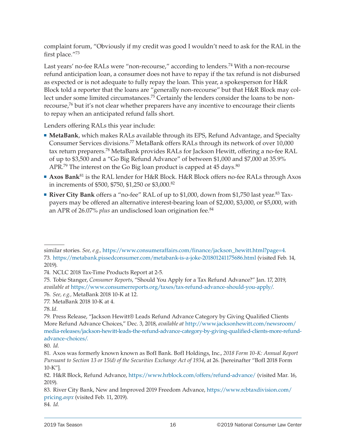complaint forum, "Obviously if my credit was good I wouldn't need to ask for the RAL in the first place."73

Last years' no-fee RALs were "non-recourse," according to lenders.<sup>74</sup> With a non-recourse refund anticipation loan, a consumer does not have to repay if the tax refund is not disbursed as expected or is not adequate to fully repay the loan. This year, a spokesperson for H&R Block told a reporter that the loans are "generally non-recourse" but that H&R Block may collect under some limited circumstances.<sup>75</sup> Certainly the lenders consider the loans to be nonrecourse,76 but it's not clear whether preparers have any incentive to encourage their clients to repay when an anticipated refund falls short.

Lenders offering RALs this year include:

- **MetaBank**, which makes RALs available through its EPS, Refund Advantage, and Specialty Consumer Services divisions.77 MetaBank offers RALs through its network of over 10,000 tax return preparers.78 MetaBank provides RALs for Jackson Hewitt, offering a no-fee RAL of up to \$3,500 and a "Go Big Refund Advance" of between \$1,000 and \$7,000 at 35.9% APR.<sup>79</sup> The interest on the Go Big loan product is capped at  $45 \text{ days}$ .<sup>80</sup>
- **Axos Bank**<sup>81</sup> is the RAL lender for H&R Block. H&R Block offers no-fee RALs through Axos in increments of \$500, \$750, \$1,250 or \$3,000.82
- **River City Bank** offers a "no-fee" RAL of up to \$1,000, down from \$1,750 last year.83 Taxpayers may be offered an alternative interest-bearing loan of \$2,000, \$3,000, or \$5,000, with an APR of 26.07% *plus* an undisclosed loan origination fee.84

84. *Id.*

similar stories. *See, e.g.,* [https://www.consumeraffairs.com/finance/jackson\\_hewitt.html?page=4](https://www.consumeraffairs.com/finance/jackson_hewitt.html?page=4)*.* 73. <https://metabank.pissedconsumer.com/metabank-is-a-joke-201801241175686.html> (visited Feb. 14, 2019).

<sup>74.</sup> NCLC 2018 Tax-Time Products Report at 2-5.

<sup>75.</sup> Tobie Stanger, *Consumer Reports*, "Should You Apply for a Tax Refund Advance?" Jan. 17, 2019, *available at* [https://www.consumerreports.org/taxes/tax-refund-advance-should-you-apply/.](https://www.consumerreports.org/taxes/tax-refund-advance-should-you-apply/) 76. *See, e.g.,* MetaBank 2018 10-K at 12.

<sup>77.</sup> MetaBank 2018 10-K at 4.

<sup>78.</sup>*Id.*

<sup>79.</sup> Press Release, "Jackson Hewitt® Leads Refund Advance Category by Giving Qualified Clients More Refund Advance Choices," Dec. 3, 2018, *available at* [http://www.jacksonhewitt.com/newsroom/](http://www.jacksonhewitt.com/newsroom/media-releases/jackson-hewitt-leads-the-refund-advance-category-by-giving-qualified-clients-more-refund-advance-choices/) [media-releases/jackson-hewitt-leads-the-refund-advance-category-by-giving-qualified-clients-more-refund](http://www.jacksonhewitt.com/newsroom/media-releases/jackson-hewitt-leads-the-refund-advance-category-by-giving-qualified-clients-more-refund-advance-choices/)[advance-choices/.](http://www.jacksonhewitt.com/newsroom/media-releases/jackson-hewitt-leads-the-refund-advance-category-by-giving-qualified-clients-more-refund-advance-choices/)

<sup>80.</sup> *Id*.

<sup>81.</sup> Axos was formerly known known as BofI Bank. BofI Holdings, Inc., *2018 Form 10-K: Annual Report Pursuant to Section 13 or 15(d) of the Securities Exchange Act of 1934*, at 26. [hereinafter "BofI 2018 Form 10-K"].

<sup>82.</sup> H&R Block, Refund Advance[,](about:blank) <https://www.hrblock.com/offers/refund-advance/>(visited Mar. 16, 2019).

<sup>83.</sup> River City Bank, New and Improved 2019 Freedom Advance, [https://www.rcbtaxdivision.com/](https://www.rcbtaxdivision.com/pricing.aspx) [pricing](https://www.rcbtaxdivision.com/pricing.aspx)*.aspx* (visited Feb. 11, 2019).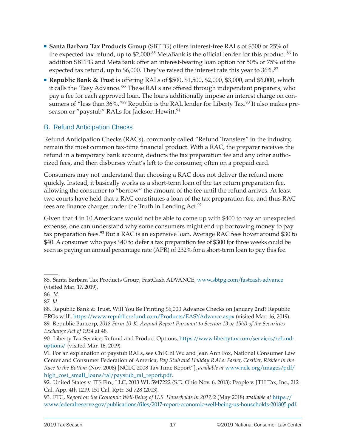- <span id="page-18-0"></span> **Santa Barbara Tax Products Group** (SBTPG) offers interest-free RALs of \$500 or 25% of the expected tax refund, up to  $$2,000$ .<sup>85</sup> MetaBank is the official lender for this product.<sup>86</sup> In addition SBTPG and MetaBank offer an interest-bearing loan option for 50% or 75% of the expected tax refund, up to \$6,000. They've raised the interest rate this year to 36%.<sup>87</sup>
- **Republic Bank & Trust** is offering RALs of \$500, \$1,500, \$2,000, \$3,000, and \$6,000, which it calls the 'Easy Advance.'<sup>88</sup> These RALs are offered through independent preparers, who pay a fee for each approved loan. The loans additionally impose an interest charge on consumers of "less than 36%."<sup>89</sup> Republic is the RAL lender for Liberty Tax.<sup>90</sup> It also makes preseason or "paystub" RALs for Jackson Hewitt.<sup>91</sup>

### B. Refund Anticipation Checks

Refund Anticipation Checks (RACs), commonly called "Refund Transfers" in the industry, remain the most common tax-time financial product. With a RAC, the preparer receives the refund in a temporary bank account, deducts the tax preparation fee and any other authorized fees, and then disburses what's left to the consumer, often on a prepaid card.

Consumers may not understand that choosing a RAC does not deliver the refund more quickly. Instead, it basically works as a short-term loan of the tax return preparation fee, allowing the consumer to "borrow" the amount of the fee until the refund arrives. At least two courts have held that a RAC constitutes a loan of the tax preparation fee, and thus RAC fees are finance charges under the Truth in Lending Act.92

Given that 4 in 10 Americans would not be able to come up with \$400 to pay an unexpected expense, one can understand why some consumers might end up borrowing money to pay tax preparation fees.<sup>93</sup> But a RAC is an expensive loan. Average RAC fees hover around \$30 to \$40. A consumer who pays \$40 to defer a tax preparation fee of \$300 for three weeks could be seen as paying an annual percentage rate (APR) of 232% for a short-term loan to pay this fee.

<sup>85.</sup> Santa Barbara Tax Products Group, FastCash ADVANCE, [www.sbtpg.com/fastcash-advance](http://www.sbtpg.com/fastcash-advance) (visited Mar. 17, 2019).

<sup>86.</sup> *Id.*

<sup>87.</sup> *Id.*

<sup>88.</sup> Republic Bank & Trust, Will You Be Printing \$6,000 Advance Checks on January 2nd? Republic EROs will!, <https://www.republicrefund.com/Products/EASYAdvance.aspx> (visited Mar. 16, 2019). 89. Republic Bancorp, *2018 Form 10-K: Annual Report Pursuant to Section 13 or 15(d) of the Securities Exchange Act of 1934* at 48.

<sup>90.</sup> Liberty Tax Service, Refund and Product Options, [https://www.libertytax.com/services/refund](https://www.libertytax.com/services/refund-options/)[options/](https://www.libertytax.com/services/refund-options/) (visited Mar. 16, 2019).

<sup>91.</sup> For an explanation of paystub RALs, see Chi Chi Wu and Jean Ann Fox, National Consumer Law Center and Consumer Federation of America, *Pay Stub and Holiday RALs: Faster, Costlier, Riskier in the Race to the Bottom* (Nov. 2008) [NCLC 2008 Tax-Time Report"], *available at* [www.nclc.org/images/pdf/](http://www.nclc.org/images/pdf/high_cost_small_loans/ral/paystub_ral_report.pdf) [high\\_cost\\_small\\_loans/ral/paystub\\_ral\\_report.pdf.](http://www.nclc.org/images/pdf/high_cost_small_loans/ral/paystub_ral_report.pdf)

<sup>92.</sup> United States v. ITS Fin., LLC, 2013 WL 5947222 (S.D. Ohio Nov. 6, 2013); People v. JTH Tax, Inc., 212 Cal. App. 4th 1219, 151 Cal. Rptr. 3d 728 (2013).

<sup>93.</sup> FTC, *Report on the Economic Well-Being of U.S. Households in 2017*, 2 (May 2018) *available at* [https://](https://www.federalreserve.gov/publications/files/2017-report-economic-well-being-us-households-201805.pdf) [www.federalreserve.gov/publications/files/2017-report-economic-well-being-us-households-201805.pdf](https://www.federalreserve.gov/publications/files/2017-report-economic-well-being-us-households-201805.pdf).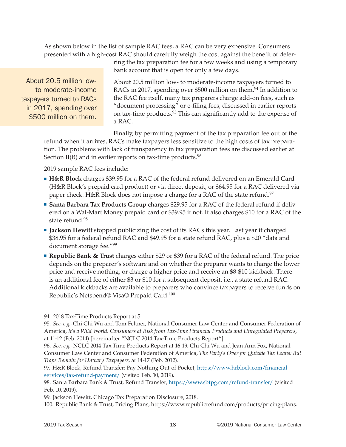As shown below in the list of sample RAC fees, a RAC can be very expensive. Consumers presented with a high-cost RAC should carefully weigh the cost against the benefit of defer-

About 20.5 million lowto moderate-income taxpayers turned to RACs in 2017, spending over \$500 million on them.

ring the tax preparation fee for a few weeks and using a temporary bank account that is open for only a few days.

About 20.5 million low- to moderate-income taxpayers turned to RACs in 2017, spending over \$500 million on them.<sup>94</sup> In addition to the RAC fee itself, many tax preparers charge add-on fees, such as "document processing" or e-filing fees, discussed in earlier reports on tax-time products.95 This can significantly add to the expense of a RAC.

Finally, by permitting payment of the tax preparation fee out of the refund when it arrives, RACs make taxpayers less sensitive to the high costs of tax preparation. The problems with lack of transparency in tax preparation fees are discussed earlier at Section II(B) and in earlier reports on tax-time products.<sup>96</sup>

2019 sample RAC fees include:

- **H&R Block** charges \$39.95 for a RAC of the federal refund delivered on an Emerald Card (H&R Block's prepaid card product) or via direct deposit, or \$64.95 for a RAC delivered via paper check. H&R Block does not impose a charge for a RAC of the state refund.<sup>97</sup>
- **Santa Barbara Tax Products Group** charges \$29.95 for a RAC of the federal refund if delivered on a Wal-Mart Money prepaid card or \$39.95 if not. It also charges \$10 for a RAC of the state refund.<sup>98</sup>
- **Jackson Hewitt** stopped publicizing the cost of its RACs this year. Last year it charged \$38.95 for a federal refund RAC and \$49.95 for a state refund RAC, plus a \$20 "data and document storage fee."99
- **Republic Bank & Trust** charges either \$29 or \$39 for a RAC of the federal refund. The price depends on the preparer's software and on whether the preparer wants to charge the lower price and receive nothing, or charge a higher price and receive an \$8-\$10 kickback. There is an additional fee of either \$3 or \$10 for a subsequent deposit, i.e., a state refund RAC. Additional kickbacks are available to preparers who convince taxpayers to receive funds on Republic's Netspend® Visa® Prepaid Card.100

<sup>94. 2018</sup> Tax-Time Products Report at 5

<sup>95.</sup> *See, e.g.*, Chi Chi Wu and Tom Feltner, National Consumer Law Center and Consumer Federation of America, *It's a Wild World: Consumers at Risk from Tax-Time Financial Products and Unregulated Preparers*, at 11-12 (Feb. 2014) [hereinafter "NCLC 2014 Tax-Time Products Report"].

<sup>96.</sup> *See, e.g.*, NCLC 2014 Tax-Time Products Report at 16-19; Chi Chi Wu and Jean Ann Fox, National Consumer Law Center and Consumer Federation of America, *The Party's Over for Quickie Tax Loans: But Traps Remain for Unwary Taxpayers,* at 14-17 (Feb. 2012).

<sup>97.</sup> H&R Block, Refund Transfer: Pay Nothing Out-of-Pocket, [https://www.hrblock.com/financial](https://www.hrblock.com/financial-services/tax-refund-payment/)[services/tax-refund-payment/](https://www.hrblock.com/financial-services/tax-refund-payment/) (visited Feb. 10, 2019).

<sup>98.</sup> Santa Barbara Bank & Trust, Refund Transfer, <https://www.sbtpg.com/refund-transfer/> (visited Feb. 10, 2019).

<sup>99.</sup> Jackson Hewitt, Chicago Tax Preparation Disclosure, 2018.

<sup>100.</sup> Republic Bank & Trust, Pricing Plans, https://www.republicrefund.com/products/pricing-plans.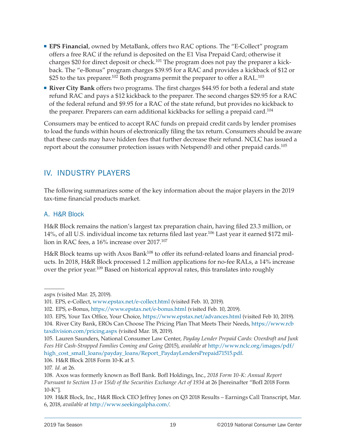- <span id="page-20-0"></span> **EPS Financial**, owned by MetaBank, offers two RAC options. The "E-Collect" program offers a free RAC if the refund is deposited on the E1 Visa Prepaid Card; otherwise it charges \$20 for direct deposit or check.<sup>101</sup> The program does not pay the preparer a kickback. The "e-Bonus" program charges \$39.95 for a RAC and provides a kickback of \$12 or \$25 to the tax preparer.<sup>102</sup> Both programs permit the preparer to offer a RAL.<sup>103</sup>
- **River City Bank** offers two programs. The first charges \$44.95 for both a federal and state refund RAC and pays a \$12 kickback to the preparer. The second charges \$29.95 for a RAC of the federal refund and \$9.95 for a RAC of the state refund, but provides no kickback to the preparer. Preparers can earn additional kickbacks for selling a prepaid card.<sup>104</sup>

Consumers may be enticed to accept RAC funds on prepaid credit cards by lender promises to load the funds within hours of electronically filing the tax return. Consumers should be aware that these cards may have hidden fees that further decrease their refund. NCLC has issued a report about the consumer protection issues with Netspend® and other prepaid cards.105

### IV. INDUSTRY PLAYERS

The following summarizes some of the key information about the major players in the 2019 tax-time financial products market.

### A. H&R Block

H&R Block remains the nation's largest tax preparation chain, having filed 23.3 million, or 14%, of all U.S. individual income tax returns filed last year.<sup>106</sup> Last year it earned \$172 million in RAC fees, a 16% increase over 2017.107

H&R Block teams up with Axos Bank<sup>108</sup> to offer its refund-related loans and financial products. In 2018, H&R Block processed 1.2 million applications for no-fee RALs, a 14% increase over the prior year.<sup>109</sup> Based on historical approval rates, this translates into roughly

[high\\_cost\\_small\\_loans/payday\\_loans/Report\\_PaydayLendersPrepaid71515.pdf](http://www.nclc.org/images/pdf/high_cost_small_loans/payday_loans/Report_PaydayLendersPrepaid71515.pdf).

aspx (visited Mar. 25, 2019).

<sup>101.</sup> EPS, e-Collect, [www.epstax.net/e-collect.html](about:blank) (visited Feb. 10, 2019).

<sup>102.</sup> EPS, e-Bonus,<https://www.epstax.net/e-bonus.html> (visited Feb. 10, 2019).

<sup>103.</sup> EPS, Your Tax Office, Your Choice, <https://www.epstax.net/advances.html> (visited Feb 10, 2019).

<sup>104.</sup> River City Bank, EROs Can Choose The Pricing Plan That Meets Their Needs, [https://www.rcb](https://www.rcbtaxdivision.com/pricing.aspx) [taxdivision.com/pricing.aspx](https://www.rcbtaxdivision.com/pricing.aspx) (visited Mar. 18, 2019).

<sup>105.</sup> Lauren Saunders, National Consumer Law Center, *Payday Lender Prepaid Cards: Overdraft and Junk Fees Hit Cash-Strapped Families Coming and Going* (2015), *available at* [http://www.nclc.org/images/pdf/](http://www.nclc.org/images/pdf/high_cost_small_loans/payday_loans/Report_PaydayLendersPrepaid71515.pdf)

<sup>106.</sup> H&R Block 2018 Form 10-K at 5.

<sup>107.</sup> *Id.* at 26.

<sup>108.</sup> Axos was formerly known as BofI Bank. BofI Holdings, Inc., *2018 Form 10-K: Annual Report Pursuant to Section 13 or 15(d) of the Securities Exchange Act of 1934* at 26 [hereinafter "BofI 2018 Form 10-K"].

<sup>109.</sup> H&R Block, Inc., H&R Block CEO Jeffrey Jones on Q3 2018 Results – Earnings Call Transcript, Mar. 6, 2018, *available at* <http://www.seekingalpha.com/>.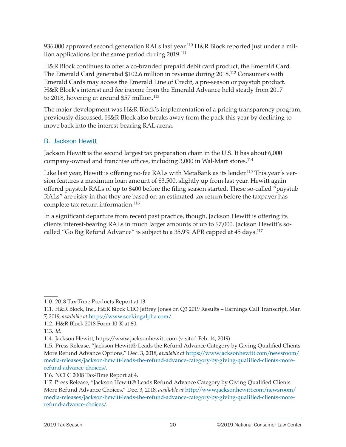<span id="page-21-0"></span>936,000 approved second generation RALs last year.<sup>110</sup> H&R Block reported just under a million applications for the same period during 2019.<sup>111</sup>

H&R Block continues to offer a co-branded prepaid debit card product, the Emerald Card. The Emerald Card generated \$102.6 million in revenue during 2018.112 Consumers with Emerald Cards may access the Emerald Line of Credit, a pre-season or paystub product. H&R Block's interest and fee income from the Emerald Advance held steady from 2017 to 2018, hovering at around \$57 million.<sup>113</sup>

The major development was H&R Block's implementation of a pricing transparency program, previously discussed. H&R Block also breaks away from the pack this year by declining to move back into the interest-bearing RAL arena.

### B. Jackson Hewitt

Jackson Hewitt is the second largest tax preparation chain in the U.S. It has about 6,000 company-owned and franchise offices, including 3,000 in Wal-Mart stores.114

Like last year, Hewitt is offering no-fee RALs with MetaBank as its lender.<sup>115</sup> This year's version features a maximum loan amount of \$3,500, slightly up from last year. Hewitt again offered paystub RALs of up to \$400 before the filing season started. These so-called "paystub RALs" are risky in that they are based on an estimated tax return before the taxpayer has complete tax return information.<sup>116</sup>

In a significant departure from recent past practice, though, Jackson Hewitt is offering its clients interest-bearing RALs in much larger amounts of up to \$7,000. Jackson Hewitt's socalled "Go Big Refund Advance" is subject to a 35.9% APR capped at 45 days.<sup>117</sup>

111. H&R Block, Inc., H&R Block CEO Jeffrey Jones on Q3 2019 Results – Earnings Call Transcript, Mar. 7, 2019, *available at* <https://www.seekingalpha.com/>.

<sup>110. 2018</sup> Tax-Time Products Report at 13.

<sup>112.</sup> H&R Block 2018 Form 10-K at 60.

<sup>113.</sup> *Id*.

<sup>114.</sup> Jackson Hewitt, https://www.jacksonhewitt.com (visited Feb. 14, 2019).

<sup>115.</sup> Press Release, "Jackson Hewitt® Leads the Refund Advance Category by Giving Qualified Clients More Refund Advance Options," Dec. 3, 2018, *available at* [https://www.jacksonhewitt.com/newsroom/](https://www.jacksonhewitt.com/newsroom/media-releases/jackson-hewitt-leads-the-refund-advance-category-by-giving-qualified-clients-more-refund-advance-choices/) [media-releases/jackson-hewitt-leads-the-refund-advance-category-by-giving-qualified-clients-more](https://www.jacksonhewitt.com/newsroom/media-releases/jackson-hewitt-leads-the-refund-advance-category-by-giving-qualified-clients-more-refund-advance-choices/)[refund-advance-choices/](https://www.jacksonhewitt.com/newsroom/media-releases/jackson-hewitt-leads-the-refund-advance-category-by-giving-qualified-clients-more-refund-advance-choices/).

<sup>116.</sup> NCLC 2008 Tax-Time Report at 4.

<sup>117.</sup> Press Release, "Jackson Hewitt® Leads Refund Advance Category by Giving Qualified Clients More Refund Advance Choices," Dec. 3, 2018, *available at* [http://www.jacksonhewitt.com/newsroom/](http://www.jacksonhewitt.com/newsroom/media-releases/jackson-hewitt-leads-the-refund-advance-category-by-giving-qualified-clients-more-refund-advance-choices/) [media-releases/jackson-hewitt-leads-the-refund-advance-category-by-giving-qualified-clients-more](http://www.jacksonhewitt.com/newsroom/media-releases/jackson-hewitt-leads-the-refund-advance-category-by-giving-qualified-clients-more-refund-advance-choices/)[refund-advance-choices/](http://www.jacksonhewitt.com/newsroom/media-releases/jackson-hewitt-leads-the-refund-advance-category-by-giving-qualified-clients-more-refund-advance-choices/).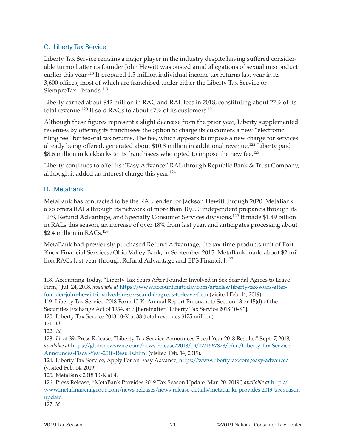### <span id="page-22-0"></span>C. Liberty Tax Service

Liberty Tax Service remains a major player in the industry despite having suffered considerable turmoil after its founder John Hewitt was ousted amid allegations of sexual misconduct earlier this year.118 It prepared 1.5 million individual income tax returns last year in its 3,600 offices, most of which are franchised under either the Liberty Tax Service or SiempreTax+ brands.<sup>119</sup>

Liberty earned about \$42 million in RAC and RAL fees in 2018, constituting about 27% of its total revenue.<sup>120</sup> It sold RACs to about 47% of its customers.<sup>121</sup>

Although these figures represent a slight decrease from the prior year, Liberty supplemented revenues by offering its franchisees the option to charge its customers a new "electronic filing fee" for federal tax returns. The fee, which appears to impose a new charge for services already being offered, generated about \$10.8 million in additional revenue.<sup>122</sup> Liberty paid \$8.6 million in kickbacks to its franchisees who opted to impose the new fee.123

Liberty continues to offer its "Easy Advance" RAL through Republic Bank & Trust Company, although it added an interest charge this year.<sup>124</sup>

### D. MetaBank

MetaBank has contracted to be the RAL lender for Jackson Hewitt through 2020. MetaBank also offers RALs through its network of more than 10,000 independent preparers through its EPS, Refund Advantage, and Specialty Consumer Services divisions.125 It made \$1.49 billion in RALs this season, an increase of over 18% from last year, and anticipates processing about \$2.4 million in RACs.<sup>126</sup>

MetaBank had previously purchased Refund Advantage, the tax-time products unit of Fort Knox Financial Services/Ohio Valley Bank, in September 2015. MetaBank made about \$2 million RACs last year through Refund Advantage and EPS Financial.<sup>127</sup>

119. Liberty Tax Service, 2018 Form 10-K: Annual Report Pursuant to Section 13 or 15(d) of the

<sup>118.</sup> Accounting Today, "Liberty Tax Soars After Founder Involved in Sex Scandal Agrees to Leave Firm," Jul. 24, 2018, *available at* [https://www.accountingtoday.com/articles/liberty-tax-soars-after](https://www.accountingtoday.com/articles/liberty-tax-soars-after-founder-john-hewitt-involved-in-sex-scandal-agrees-to-leave-firm)[founder-john-hewitt-involved-in-sex-scandal-agrees-to-leave-firm](https://www.accountingtoday.com/articles/liberty-tax-soars-after-founder-john-hewitt-involved-in-sex-scandal-agrees-to-leave-firm) (visited Feb. 14, 2019)

Securities Exchange Act of 1934, at 6 [hereinafter "Liberty Tax Service 2018 10-K"].

<sup>120.</sup> Liberty Tax Service 2018 10-K at 38 (total revenues \$175 million).

<sup>121.</sup> *Id*.

<sup>122.</sup> *Id*.

<sup>123.</sup> *Id*. at 39; Press Release, "Liberty Tax Service Announces Fiscal Year 2018 Results," Sept. 7, 2018, *available at* [https://globenewswire.com/news-release/2018/09/07/1567878/0/en/Liberty-Tax-Service-](https://globenewswire.com/news-release/2018/09/07/1567878/0/en/Liberty-Tax-Service-Announces-Fiscal-Year-2018-Results.html)[Announces-Fiscal-Year-2018-Results.html](https://globenewswire.com/news-release/2018/09/07/1567878/0/en/Liberty-Tax-Service-Announces-Fiscal-Year-2018-Results.html) (visited Feb. 14, 2019).

<sup>124.</sup> Liberty Tax Service, Apply For an Easy Advance, <https://www.libertytax.com/easy-advance/> (visited Feb. 14, 2019)

<sup>125.</sup> MetaBank 2018 10-K at 4.

<sup>126.</sup> Press Release, "MetaBank Provides 2019 Tax Season Update, Mar. 20, 2019", *available at* [http://](http://www.metafinancialgroup.com/news-releases/news-release-details/metabankr-provides-2019-tax-season-update) [www.metafinancialgroup.com/news-releases/news-release-details/metabankr-provides-2019-tax-season](http://www.metafinancialgroup.com/news-releases/news-release-details/metabankr-provides-2019-tax-season-update)[update.](http://www.metafinancialgroup.com/news-releases/news-release-details/metabankr-provides-2019-tax-season-update)

<sup>127.</sup> *Id.*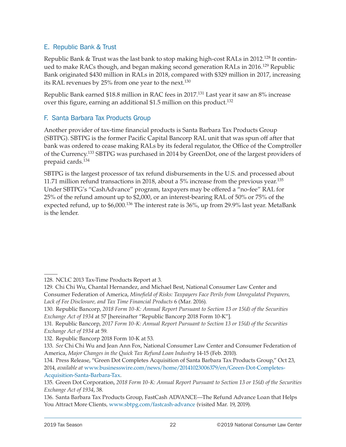### <span id="page-23-0"></span>E. Republic Bank & Trust

Republic Bank & Trust was the last bank to stop making high-cost RALs in 2012.128 It continued to make RACs though, and began making second generation RALs in 2016.<sup>129</sup> Republic Bank originated \$430 million in RALs in 2018, compared with \$329 million in 2017, increasing its RAL revenues by 25% from one year to the next.<sup>130</sup>

Republic Bank earned \$18.8 million in RAC fees in 2017.131 Last year it saw an 8% increase over this figure, earning an additional \$1.5 million on this product.<sup>132</sup>

### F. Santa Barbara Tax Products Group

Another provider of tax-time financial products is Santa Barbara Tax Products Group (SBTPG). SBTPG is the former Pacific Capital Bancorp RAL unit that was spun off after that bank was ordered to cease making RALs by its federal regulator, the Office of the Comptroller of the Currency.133 SBTPG was purchased in 2014 by GreenDot, one of the largest providers of prepaid cards.134

SBTPG is the largest processor of tax refund disbursements in the U.S. and processed about 11.71 million refund transactions in 2018, about a 5% increase from the previous year.<sup>135</sup> Under SBTPG's "CashAdvance" program, taxpayers may be offered a "no-fee" RAL for 25% of the refund amount up to \$2,000, or an interest-bearing RAL of 50% or 75% of the expected refund, up to \$6,000.<sup>136</sup> The interest rate is 36%, up from 29.9% last year. MetaBank is the lender.

<sup>128.</sup> NCLC 2013 Tax-Time Products Report at 3.

<sup>129.</sup> Chi Chi Wu, Chantal Hernandez, and Michael Best, National Consumer Law Center and Consumer Federation of America, *Minefield of Risks: Taxpayers Face Perils from Unregulated Preparers, Lack of Fee Disclosure, and Tax Time Financial Products* 6 (Mar. 2016).

<sup>130.</sup> Republic Bancorp, *2018 Form 10-K: Annual Report Pursuant to Section 13 or 15(d) of the Securities Exchange Act of 1934* at 57 [hereinafter "Republic Bancorp 2018 Form 10-K"].

<sup>131.</sup> Republic Bancorp, *2017 Form 10-K: Annual Report Pursuant to Section 13 or 15(d) of the Securities Exchange Act of 1934* at 59.

<sup>132.</sup> Republic Bancorp 2018 Form 10-K at 53.

<sup>133.</sup> *See* Chi Chi Wu and Jean Ann Fox, National Consumer Law Center and Consumer Federation of America, *Major Changes in the Quick Tax Refund Loan Industry* 14-15 (Feb. 2010).

<sup>134.</sup> Press Release, "Green Dot Completes Acquisition of Santa Barbara Tax Products Group," Oct 23, 2014, *available at* [www.businesswire.com/news/home/20141023006379/en/Green-Dot-Completes-](http://www.businesswire.com/news/home/20141023006379/en/Green-Dot-Completes-Acquisition-Santa-Barbara-Tax)[Acquisition-Santa-Barbara-Tax.](http://www.businesswire.com/news/home/20141023006379/en/Green-Dot-Completes-Acquisition-Santa-Barbara-Tax)

<sup>135.</sup> Green Dot Corporation, *2018 Form 10-K: Annual Report Pursuant to Section 13 or 15(d) of the Securities Exchange Act of 1934*, 38.

<sup>136.</sup> Santa Barbara Tax Products Group, FastCash ADVANCE—The Refund Advance Loan that Helps You Attract More Clients*,* [www.sbtpg.com/fastcash-advance](http://www.sbtpg.com/fastcash-advance) (visited Mar. 19, 2019).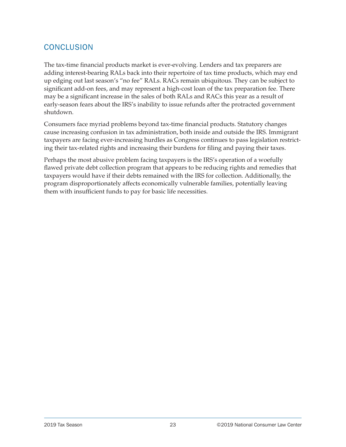### <span id="page-24-0"></span>CONCLUSION

The tax-time financial products market is ever-evolving. Lenders and tax preparers are adding interest-bearing RALs back into their repertoire of tax time products, which may end up edging out last season's "no fee" RALs. RACs remain ubiquitous. They can be subject to significant add-on fees, and may represent a high-cost loan of the tax preparation fee. There may be a significant increase in the sales of both RALs and RACs this year as a result of early-season fears about the IRS's inability to issue refunds after the protracted government shutdown.

Consumers face myriad problems beyond tax-time financial products. Statutory changes cause increasing confusion in tax administration, both inside and outside the IRS. Immigrant taxpayers are facing ever-increasing hurdles as Congress continues to pass legislation restricting their tax-related rights and increasing their burdens for filing and paying their taxes.

Perhaps the most abusive problem facing taxpayers is the IRS's operation of a woefully flawed private debt collection program that appears to be reducing rights and remedies that taxpayers would have if their debts remained with the IRS for collection. Additionally, the program disproportionately affects economically vulnerable families, potentially leaving them with insufficient funds to pay for basic life necessities.